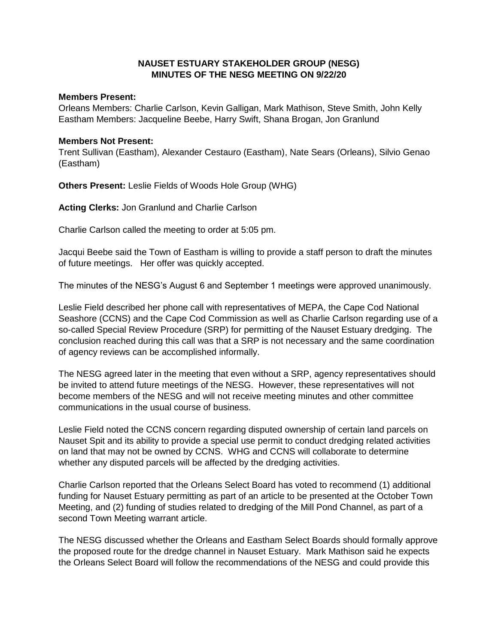## **NAUSET ESTUARY STAKEHOLDER GROUP (NESG) MINUTES OF THE NESG MEETING ON 9/22/20**

## **Members Present:**

Orleans Members: Charlie Carlson, Kevin Galligan, Mark Mathison, Steve Smith, John Kelly Eastham Members: Jacqueline Beebe, Harry Swift, Shana Brogan, Jon Granlund

## **Members Not Present:**

Trent Sullivan (Eastham), Alexander Cestauro (Eastham), Nate Sears (Orleans), Silvio Genao (Eastham)

**Others Present:** Leslie Fields of Woods Hole Group (WHG)

**Acting Clerks:** Jon Granlund and Charlie Carlson

Charlie Carlson called the meeting to order at 5:05 pm.

Jacqui Beebe said the Town of Eastham is willing to provide a staff person to draft the minutes of future meetings. Her offer was quickly accepted.

The minutes of the NESG's August 6 and September 1 meetings were approved unanimously.

Leslie Field described her phone call with representatives of MEPA, the Cape Cod National Seashore (CCNS) and the Cape Cod Commission as well as Charlie Carlson regarding use of a so-called Special Review Procedure (SRP) for permitting of the Nauset Estuary dredging. The conclusion reached during this call was that a SRP is not necessary and the same coordination of agency reviews can be accomplished informally.

The NESG agreed later in the meeting that even without a SRP, agency representatives should be invited to attend future meetings of the NESG. However, these representatives will not become members of the NESG and will not receive meeting minutes and other committee communications in the usual course of business.

Leslie Field noted the CCNS concern regarding disputed ownership of certain land parcels on Nauset Spit and its ability to provide a special use permit to conduct dredging related activities on land that may not be owned by CCNS. WHG and CCNS will collaborate to determine whether any disputed parcels will be affected by the dredging activities.

Charlie Carlson reported that the Orleans Select Board has voted to recommend (1) additional funding for Nauset Estuary permitting as part of an article to be presented at the October Town Meeting, and (2) funding of studies related to dredging of the Mill Pond Channel, as part of a second Town Meeting warrant article.

The NESG discussed whether the Orleans and Eastham Select Boards should formally approve the proposed route for the dredge channel in Nauset Estuary. Mark Mathison said he expects the Orleans Select Board will follow the recommendations of the NESG and could provide this